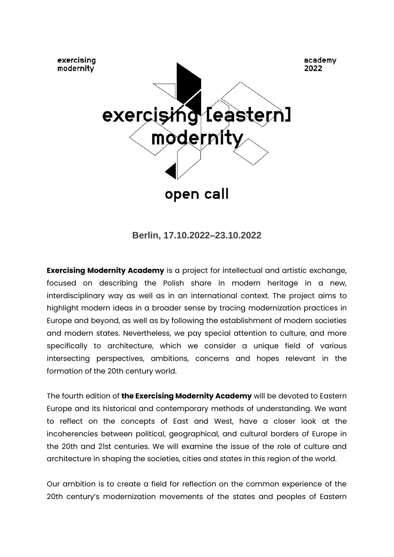

**Berlin, 17.10.2022–23.10.2022**

**Exercising Modernity Academy** is a project for intellectual and artistic exchange, focused on describing the Polish share in modern heritage in a new, interdisciplinary way as well as in an international context. The project aims to highlight modern ideas in a broader sense by tracing modernization practices in Europe and beyond, as well as by following the establishment of modern societies and modern states. Nevertheless, we pay special attention to culture, and more specifically to architecture, which we consider a unique field of various intersecting perspectives, ambitions, concerns and hopes relevant in the formation of the 20th century world.

The fourth edition of **the Exercising Modernity Academy** will be devoted to Eastern Europe and its historical and contemporary methods of understanding. We want to reflect on the concepts of East and West, have a closer look at the incoherencies between political, geographical, and cultural borders of Europe in the 20th and 21st centuries. We will examine the issue of the role of culture and architecture in shaping the societies, cities and states in this region of the world.

Our ambition is to create a field for reflection on the common experience of the 20th century's modernization movements of the states and peoples of Eastern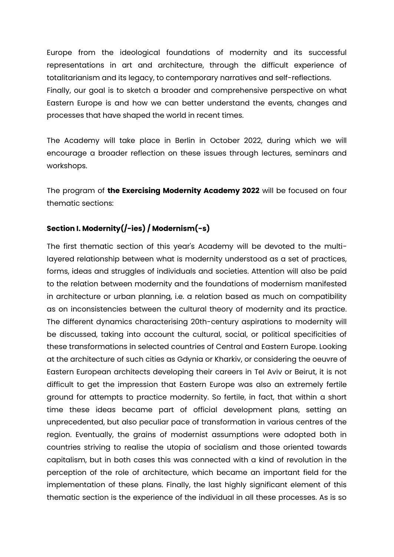Europe from the ideological foundations of modernity and its successful representations in art and architecture, through the difficult experience of totalitarianism and its legacy, to contemporary narratives and self-reflections. Finally, our goal is to sketch a broader and comprehensive perspective on what Eastern Europe is and how we can better understand the events, changes and processes that have shaped the world in recent times.

The Academy will take place in Berlin in October 2022, during which we will encourage a broader reflection on these issues through lectures, seminars and workshops.

The program of **the Exercising Modernity Academy 2022** will be focused on four thematic sections:

# **Section I. Modernity(/-ies) / Modernism(-s)**

The first thematic section of this year's Academy will be devoted to the multilayered relationship between what is modernity understood as a set of practices, forms, ideas and struggles of individuals and societies. Attention will also be paid to the relation between modernity and the foundations of modernism manifested in architecture or urban planning, i.e. a relation based as much on compatibility as on inconsistencies between the cultural theory of modernity and its practice. The different dynamics characterising 20th-century aspirations to modernity will be discussed, taking into account the cultural, social, or political specificities of these transformations in selected countries of Central and Eastern Europe. Looking at the architecture of such cities as Gdynia or Kharkiv, or considering the oeuvre of Eastern European architects developing their careers in Tel Aviv or Beirut, it is not difficult to get the impression that Eastern Europe was also an extremely fertile ground for attempts to practice modernity. So fertile, in fact, that within a short time these ideas became part of official development plans, setting an unprecedented, but also peculiar pace of transformation in various centres of the region. Eventually, the grains of modernist assumptions were adopted both in countries striving to realise the utopia of socialism and those oriented towards capitalism, but in both cases this was connected with a kind of revolution in the perception of the role of architecture, which became an important field for the implementation of these plans. Finally, the last highly significant element of this thematic section is the experience of the individual in all these processes. As is so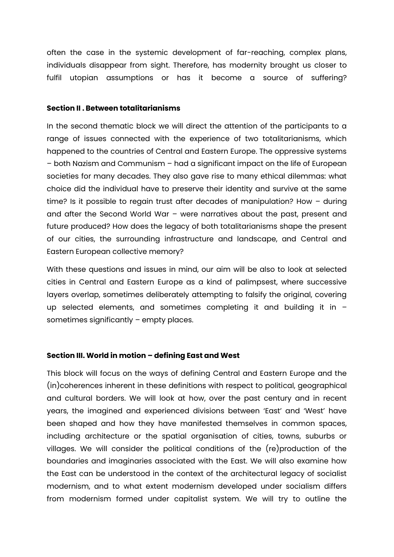often the case in the systemic development of far-reaching, complex plans, individuals disappear from sight. Therefore, has modernity brought us closer to fulfil utopian assumptions or has it become a source of suffering?

#### **Section II . Between totalitarianisms**

In the second thematic block we will direct the attention of the participants to a range of issues connected with the experience of two totalitarianisms, which happened to the countries of Central and Eastern Europe. The oppressive systems – both Nazism and Communism – had a significant impact on the life of European societies for many decades. They also gave rise to many ethical dilemmas: what choice did the individual have to preserve their identity and survive at the same time? Is it possible to regain trust after decades of manipulation? How – during and after the Second World War – were narratives about the past, present and future produced? How does the legacy of both totalitarianisms shape the present of our cities, the surrounding infrastructure and landscape, and Central and Eastern European collective memory?

With these questions and issues in mind, our aim will be also to look at selected cities in Central and Eastern Europe as a kind of palimpsest, where successive layers overlap, sometimes deliberately attempting to falsify the original, covering up selected elements, and sometimes completing it and building it in – sometimes significantly – empty places.

#### **Section III. World in motion – defining East and West**

This block will focus on the ways of defining Central and Eastern Europe and the (in)coherences inherent in these definitions with respect to political, geographical and cultural borders. We will look at how, over the past century and in recent years, the imagined and experienced divisions between 'East' and 'West' have been shaped and how they have manifested themselves in common spaces, including architecture or the spatial organisation of cities, towns, suburbs or villages. We will consider the political conditions of the (re)production of the boundaries and imaginaries associated with the East. We will also examine how the East can be understood in the context of the architectural legacy of socialist modernism, and to what extent modernism developed under socialism differs from modernism formed under capitalist system. We will try to outline the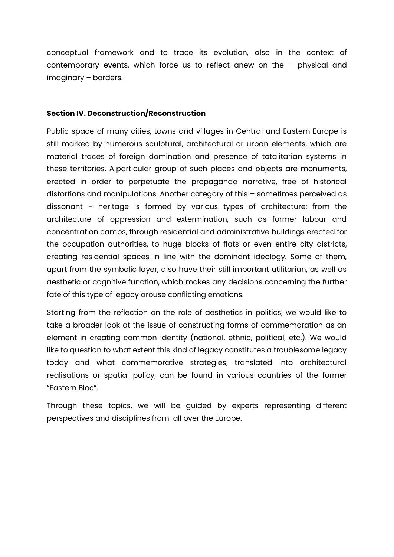conceptual framework and to trace its evolution, also in the context of contemporary events, which force us to reflect anew on the – physical and imaginary – borders.

#### **Section IV. Deconstruction/Reconstruction**

Public space of many cities, towns and villages in Central and Eastern Europe is still marked by numerous sculptural, architectural or urban elements, which are material traces of foreign domination and presence of totalitarian systems in these territories. A particular group of such places and objects are monuments, erected in order to perpetuate the propaganda narrative, free of historical distortions and manipulations. Another category of this – sometimes perceived as dissonant – heritage is formed by various types of architecture: from the architecture of oppression and extermination, such as former labour and concentration camps, through residential and administrative buildings erected for the occupation authorities, to huge blocks of flats or even entire city districts, creating residential spaces in line with the dominant ideology. Some of them, apart from the symbolic layer, also have their still important utilitarian, as well as aesthetic or cognitive function, which makes any decisions concerning the further fate of this type of legacy arouse conflicting emotions.

Starting from the reflection on the role of aesthetics in politics, we would like to take a broader look at the issue of constructing forms of commemoration as an element in creating common identity (national, ethnic, political, etc.). We would like to question to what extent this kind of legacy constitutes a troublesome legacy today and what commemorative strategies, translated into architectural realisations or spatial policy, can be found in various countries of the former "Eastern Bloc".

Through these topics, we will be guided by experts representing different perspectives and disciplines from all over the Europe.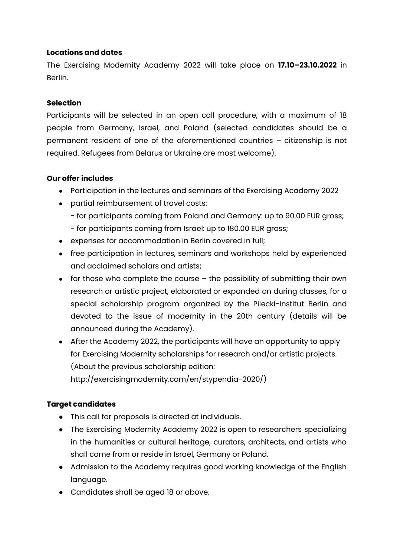#### **Locations and dates**

The Exercising Modernity Academy 2022 will take place on **17.10–23.10.2022** in Berlin.

#### **Selection**

Participants will be selected in an open call procedure, with a maximum of 18 people from Germany, Israel, and Poland (selected candidates should be a permanent resident of one of the aforementioned countries – citizenship is not required. Refugees from Belarus or Ukraine are most welcome).

#### **Our offer includes**

- Participation in the lectures and seminars of the Exercising Academy 2022
- partial reimbursement of travel costs:
	- for participants coming from Poland and Germany: up to 90.00 EUR gross;
	- for participants coming from Israel: up to 180.00 EUR gross;
- expenses for accommodation in Berlin covered in full;
- free participation in lectures, seminars and workshops held by experienced and acclaimed scholars and artists;
- $\bullet$  for those who complete the course the possibility of submitting their own research or artistic project, elaborated or expanded on during classes, for a special scholarship program organized by the Pilecki-Institut Berlin and devoted to the issue of modernity in the 20th century (details will be announced during the Academy).
- After the Academy 2022, the participants will have an opportunity to apply for Exercising Modernity scholarships for research and/or artistic projects. (About the previous scholarship edition: http://exercisingmodernity.com/en/stypendia-2020/)

### **Target candidates**

- This call for proposals is directed at individuals.
- The Exercising Modernity Academy 2022 is open to researchers specializing in the humanities or cultural heritage, curators, architects, and artists who shall come from or reside in Israel, Germany or Poland.
- Admission to the Academy requires good working knowledge of the English language.
- Candidates shall be aged 18 or above.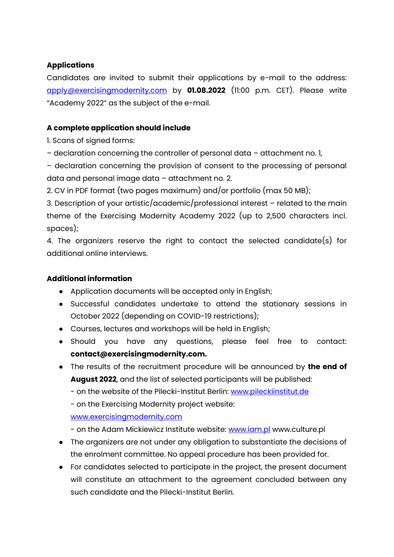## **Applications**

Candidates are invited to submit their applications by e-mail to the address: [apply@exercisingmodernity.com](mailto:apply@exercisingmodernity.com) by **01.08.2022** (11:00 p.m. CET). Please write "Academy 2022" as the subject of the e-mail.

### **A complete application should include**

1. Scans of signed forms:

– declaration concerning the controller of personal data – attachment no. 1,

– declaration concerning the provision of consent to the processing of personal data and personal image data – attachment no. 2.

2. CV in PDF format (two pages maximum) and/or portfolio (max 50 MB);

3. Description of your artistic/academic/professional interest – related to the main theme of the Exercising Modernity Academy 2022 (up to 2,500 characters incl. spaces);

4. The organizers reserve the right to contact the selected candidate(s) for additional online interviews.

### **Additional information**

- Application documents will be accepted only in English;
- Successful candidates undertake to attend the stationary sessions in October 2022 (depending on COVID-19 restrictions);
- Courses, lectures and workshops will be held in English;
- Should you have any questions, please feel free to contact: **contact@exercisingmodernity.com.**
- The results of the recruitment procedure will be announced by **the end of August 2022**, and the list of selected participants will be published:
	- on the website of the Pilecki-Institut Berlin: [www.pileckiinstitut.de](http://www.pileckiinstitut.de/)
	- on the Exercising Modernity project website:

### [www.exercisingmodernity.com](http://www.exercisingmodernity.com/)

- on the Adam Mickiewicz Institute website: [www.iam.pl](http://www.iam.pl/) www.culture.pl

- The organizers are not under any obligation to substantiate the decisions of the enrolment committee. No appeal procedure has been provided for.
- For candidates selected to participate in the project, the present document will constitute an attachment to the agreement concluded between any such candidate and the Pilecki-Institut Berlin.